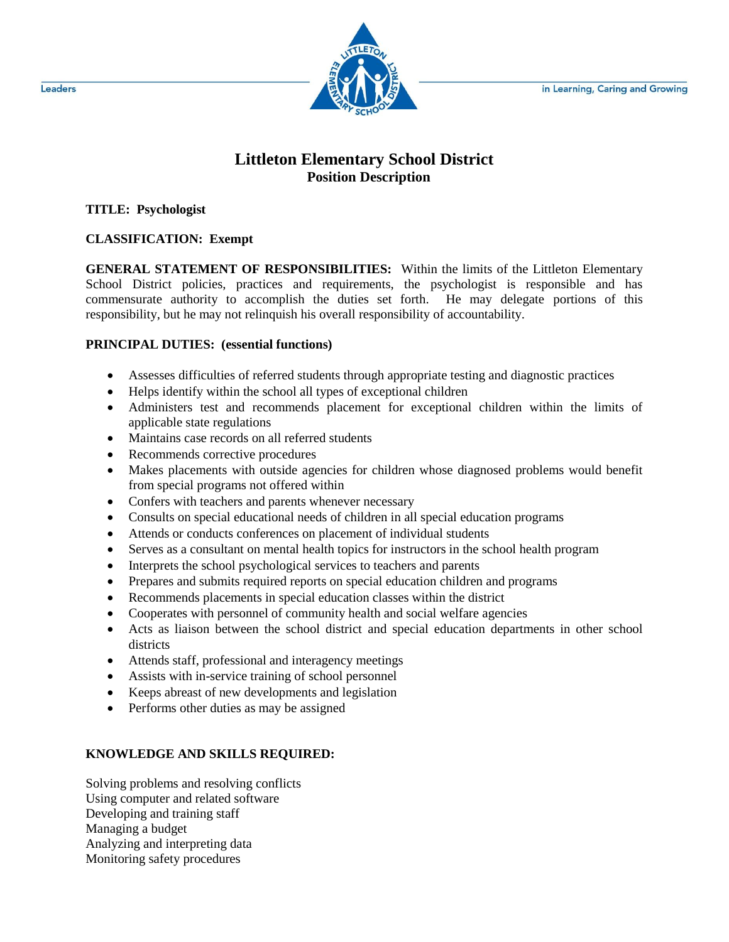in Learning, Caring and Growing



# **Littleton Elementary School District Position Description**

**TITLE: Psychologist**

## **CLASSIFICATION: Exempt**

**GENERAL STATEMENT OF RESPONSIBILITIES:** Within the limits of the Littleton Elementary School District policies, practices and requirements, the psychologist is responsible and has commensurate authority to accomplish the duties set forth. He may delegate portions of this responsibility, but he may not relinquish his overall responsibility of accountability.

#### **PRINCIPAL DUTIES: (essential functions)**

- Assesses difficulties of referred students through appropriate testing and diagnostic practices
- Helps identify within the school all types of exceptional children
- Administers test and recommends placement for exceptional children within the limits of applicable state regulations
- Maintains case records on all referred students
- Recommends corrective procedures
- Makes placements with outside agencies for children whose diagnosed problems would benefit from special programs not offered within
- Confers with teachers and parents whenever necessary
- Consults on special educational needs of children in all special education programs
- Attends or conducts conferences on placement of individual students
- Serves as a consultant on mental health topics for instructors in the school health program
- Interprets the school psychological services to teachers and parents
- Prepares and submits required reports on special education children and programs
- Recommends placements in special education classes within the district
- Cooperates with personnel of community health and social welfare agencies
- Acts as liaison between the school district and special education departments in other school districts
- Attends staff, professional and interagency meetings
- Assists with in-service training of school personnel
- Keeps abreast of new developments and legislation
- Performs other duties as may be assigned

## **KNOWLEDGE AND SKILLS REQUIRED:**

Solving problems and resolving conflicts Using computer and related software Developing and training staff Managing a budget Analyzing and interpreting data Monitoring safety procedures

Leaders